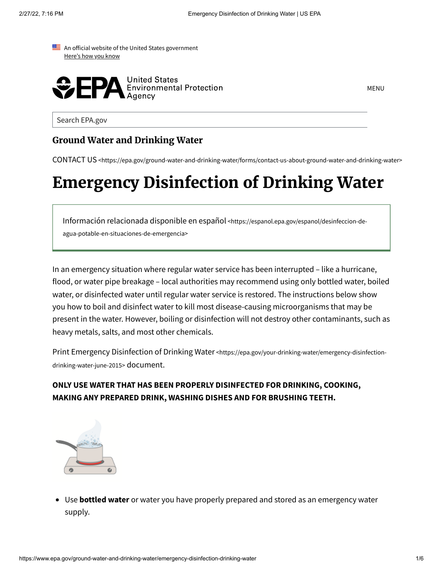



MENU

Search EPA.gov

#### **Ground Water and Drinking Water**

CONTACT US [<https://epa.gov/ground-water-and-drinking-water/forms/contact-us-about-ground-water-and-drinking-water>](https://www.epa.gov/ground-water-and-drinking-water/forms/contact-us-about-ground-water-and-drinking-water)

# **Emergency Disinfection of Drinking Water**

Información relacionada disponible en español [<https://espanol.epa.gov/espanol/desinfeccion-de](https://espanol.epa.gov/espanol/desinfeccion-de-agua-potable-en-situaciones-de-emergencia)agua-potable-en-situaciones-de-emergencia>

In an emergency situation where regular water service has been interrupted – like a hurricane, flood, or water pipe breakage – local authorities may recommend using only bottled water, boiled water, or disinfected water until regular water service is restored. The instructions below show you how to boil and disinfect water to kill most disease-causing microorganisms that may be present in the water. However, boiling or disinfection will not destroy other contaminants, such as heavy metals, salts, and most other chemicals.

Print Emergency Disinfection of Drinking Water [<https://epa.gov/your-drinking-water/emergency-disinfection](https://www.epa.gov/your-drinking-water/emergency-disinfection-drinking-water-june-2015)drinking-water-june-2015> document.

#### **ONLY USE WATER THAT HAS BEEN PROPERLY DISINFECTED FOR DRINKING, COOKING, MAKING ANY PREPARED DRINK, WASHING DISHES AND FOR BRUSHING TEETH.**



Use **bottled water** or water you have properly prepared and stored as an emergency water supply.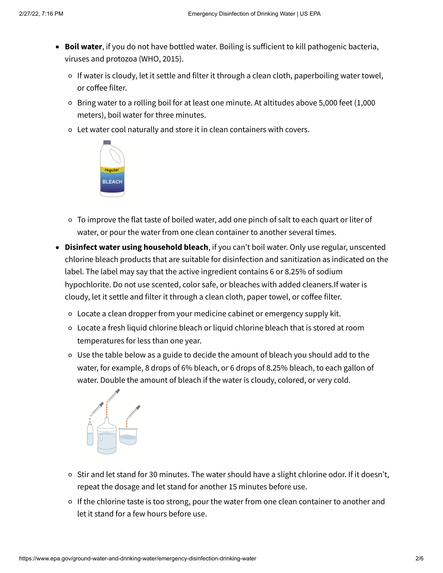- **Boil water**, if you do not have bottled water. Boiling is sufficient to kill pathogenic bacteria, viruses and protozoa (WHO, 2015).
	- If water is cloudy, let it settle and filter it through a clean cloth, paperboiling water towel, or coffee filter.
	- Bring water to a rolling boil for at least one minute. At altitudes above 5,000 feet (1,000 meters), boil water for three minutes.
	- Let water cool naturally and store it in clean containers with covers.



- $\circ$  To improve the flat taste of boiled water, add one pinch of salt to each quart or liter of water, or pour the water from one clean container to another several times.
- **Disinfect water using household bleach**, if you can't boil water. Only use regular, unscented chlorine bleach products that are suitable for disinfection and sanitization as indicated on the label. The label may say that the active ingredient contains 6 or 8.25% of sodium hypochlorite. Do not use scented, color safe, or bleaches with added cleaners.If water is cloudy, let it settle and filter it through a clean cloth, paper towel, or coffee filter.
	- Locate a clean dropper from your medicine cabinet or emergency supply kit.
	- Locate a fresh liquid chlorine bleach or liquid chlorine bleach that is stored at room temperatures for less than one year.
	- Use the table below as a guide to decide the amount of bleach you should add to the water, for example, 8 drops of 6% bleach, or 6 drops of 8.25% bleach, to each gallon of water. Double the amount of bleach if the water is cloudy, colored, or very cold.



- o Stir and let stand for 30 minutes. The water should have a slight chlorine odor. If it doesn't, repeat the dosage and let stand for another 15 minutes before use.
- o If the chlorine taste is too strong, pour the water from one clean container to another and let it stand for a few hours before use.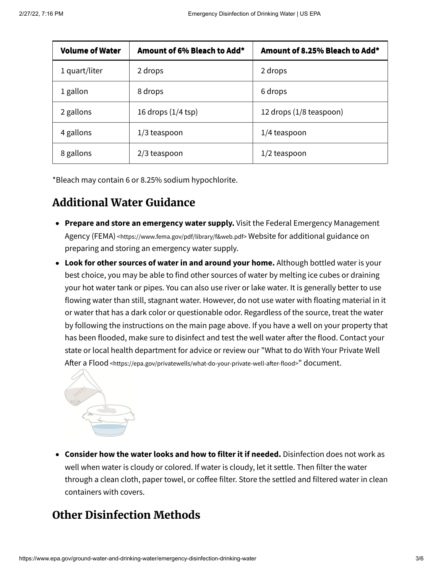| <b>Volume of Water</b> | Amount of 6% Bleach to Add*  | Amount of 8.25% Bleach to Add* |
|------------------------|------------------------------|--------------------------------|
| 1 quart/liter          | 2 drops                      | 2 drops                        |
| 1 gallon               | 8 drops                      | 6 drops                        |
| 2 gallons              | 16 drops $(1/4 \text{ tsp})$ | 12 drops (1/8 teaspoon)        |
| 4 gallons              | $1/3$ teaspoon               | $1/4$ teaspoon                 |
| 8 gallons              | $2/3$ teaspoon               | $1/2$ teaspoon                 |

\*Bleach may contain 6 or 8.25% sodium hypochlorite.

# **Additional Water Guidance**

- **Prepare and store an emergency water supply.** Visit the Federal Emergency Management Agency (FEMA) [<https://www.fema.gov/pdf/library/f&web.pdf>](https://www.fema.gov/pdf/library/f&web.pdf) Website for additional guidance on preparing and storing an emergency water supply.
- **Look for other sources of water in and around your home.** Although bottled water is your best choice, you may be able to find other sources of water by melting ice cubes or draining your hot water tank or pipes. You can also use river or lake water. It is generally better to use flowing water than still, stagnant water. However, do not use water with floating material in it or water that has a dark color or questionable odor. Regardless of the source, treat the water by following the instructions on the main page above. If you have a well on your property that has been flooded, make sure to disinfect and test the well water after the flood. Contact your state or local health department for advice or review our "What to do With Your Private Well After a Flood [<https://epa.gov/privatewells/what-do-your-private-well-after-flood>](https://www.epa.gov/privatewells/what-do-your-private-well-after-flood)" document.



**Consider how the water looks and how to filter it if needed.** Disinfection does not work as well when water is cloudy or colored. If water is cloudy, let it settle. Then filter the water through a clean cloth, paper towel, or coffee filter. Store the settled and filtered water in clean containers with covers.

# **Other Disinfection Methods**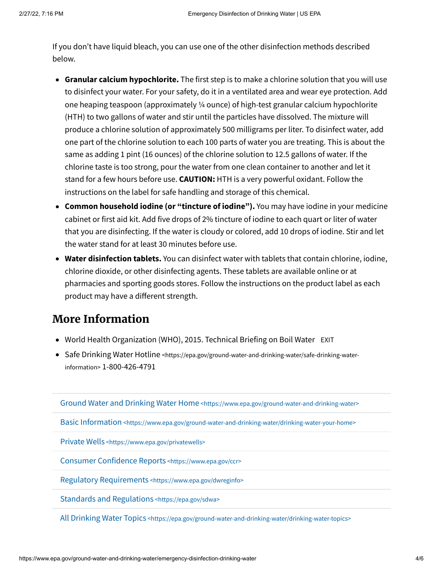If you don't have liquid bleach, you can use one of the other disinfection methods described below.

- **Granular calcium hypochlorite.** The first step is to make a chlorine solution that you will use to disinfect your water. For your safety, do it in a ventilated area and wear eye protection. Add one heaping teaspoon (approximately ¼ ounce) of high-test granular calcium hypochlorite (HTH) to two gallons of water and stir until the particles have dissolved. The mixture will produce a chlorine solution of approximately 500 milligrams per liter. To disinfect water, add one part of the chlorine solution to each 100 parts of water you are treating. This is about the same as adding 1 pint (16 ounces) of the chlorine solution to 12.5 gallons of water. If the chlorine taste is too strong, pour the water from one clean container to another and let it stand for a few hours before use. **CAUTION:** HTH is a very powerful oxidant. Follow the instructions on the label for safe handling and storage of this chemical.
- **Common household iodine (or "tincture of iodine").** You may have iodine in your medicine cabinet or first aid kit. Add five drops of 2% tincture of iodine to each quart or liter of water that you are disinfecting. If the water is cloudy or colored, add 10 drops of iodine. Stir and let the water stand for at least 30 minutes before use.
- **Water disinfection tablets.** You can disinfect water with tablets that contain chlorine, iodine, chlorine dioxide, or other disinfecting agents. These tablets are available online or at pharmacies and sporting goods stores. Follow the instructions on the product label as each product may have a different strength.

## **More Information**

- World Health [Organization](http://www.who.int/water_sanitation_health/dwq/Boiling_water_01_15.pdf?ua=1&ua=1) (WHO), 2015. Technical Briefing on Boil Water EXIT
- Safe Drinking Water Hotline [<https://epa.gov/ground-water-and-drinking-water/safe-drinking-water](https://www.epa.gov/ground-water-and-drinking-water/safe-drinking-water-information)information> 1-800-426-4791

Ground Water and Drinking Water Home [<https://www.epa.gov/ground-water-and-drinking-water>](https://www.epa.gov/ground-water-and-drinking-water)

Basic Information [<https://www.epa.gov/ground-water-and-drinking-water/drinking-water-your-home>](https://www.epa.gov/ground-water-and-drinking-water/drinking-water-your-home)

Private Wells [<https://www.epa.gov/privatewells>](https://www.epa.gov/privatewells)

Consumer Confidence Reports [<https://www.epa.gov/ccr>](https://www.epa.gov/ccr)

Regulatory Requirements [<https://www.epa.gov/dwreginfo>](https://www.epa.gov/dwreginfo)

Standards and Regulations [<https://epa.gov/sdwa>](https://www.epa.gov/sdwa)

All Drinking Water Topics [<https://epa.gov/ground-water-and-drinking-water/drinking-water-topics>](https://www.epa.gov/ground-water-and-drinking-water/drinking-water-topics)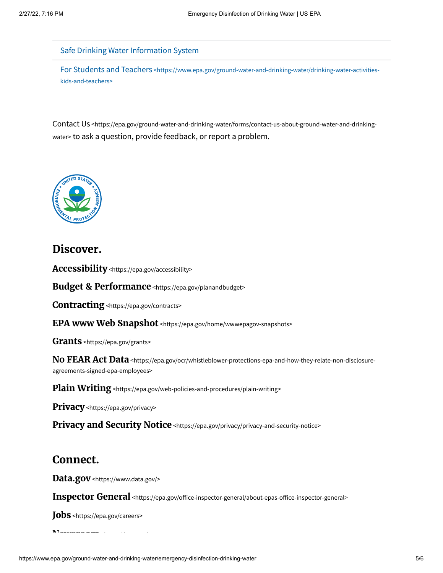Safe Drinking Water [Information](https://ofmpub.epa.gov/apex/sfdw/f?p=108%3A200%3A%3A%3A%3A%3A%3A) System

For Students and Teachers [<https://www.epa.gov/ground-water-and-drinking-water/drinking-water-activities](https://www.epa.gov/ground-water-and-drinking-water/drinking-water-activities-kids-and-teachers)kids-and-teachers>

Contact Us [<https://epa.gov/ground-water-and-drinking-water/forms/contact-us-about-ground-water-and-drinking](https://www.epa.gov/ground-water-and-drinking-water/forms/contact-us-about-ground-water-and-drinking-water)water > to ask a question, provide feedback, or report a problem.



### **Discover.**

**Accessibility** [<https://epa.gov/accessibility>](https://www.epa.gov/accessibility)

**Budget & Performance** [<https://epa.gov/planandbudget>](https://www.epa.gov/planandbudget)

**Contracting**[<https://epa.gov/contracts>](https://www.epa.gov/contracts)

**EPA www Web Snapshot** [<https://epa.gov/home/wwwepagov-snapshots>](https://www.epa.gov/home/wwwepagov-snapshots)

**Grants** [<https://epa.gov/grants>](https://www.epa.gov/grants)

**No FEAR Act Data** [<https://epa.gov/ocr/whistleblower-protections-epa-and-how-they-relate-non-disclosure](https://www.epa.gov/ocr/whistleblower-protections-epa-and-how-they-relate-non-disclosure-agreements-signed-epa-employees)agreements-signed-epa-employees>

**Plain Writing** [<https://epa.gov/web-policies-and-procedures/plain-writing>](https://www.epa.gov/web-policies-and-procedures/plain-writing)

**Privacy** [<https://epa.gov/privacy>](https://www.epa.gov/privacy)

**Privacy and Security Notice** [<https://epa.gov/privacy/privacy-and-security-notice>](https://www.epa.gov/privacy/privacy-and-security-notice)

#### **Connect.**

**Data.gov** [<https://www.data.gov/>](https://www.data.gov/)

**Inspector General** [<https://epa.gov/office-inspector-general/about-epas-office-inspector-general>](https://www.epa.gov/office-inspector-general/about-epas-office-inspector-general)

**Jobs** [<https://epa.gov/careers>](https://www.epa.gov/careers)

**[Newsroom](https://www.epa.gov/newsroom) h** // //